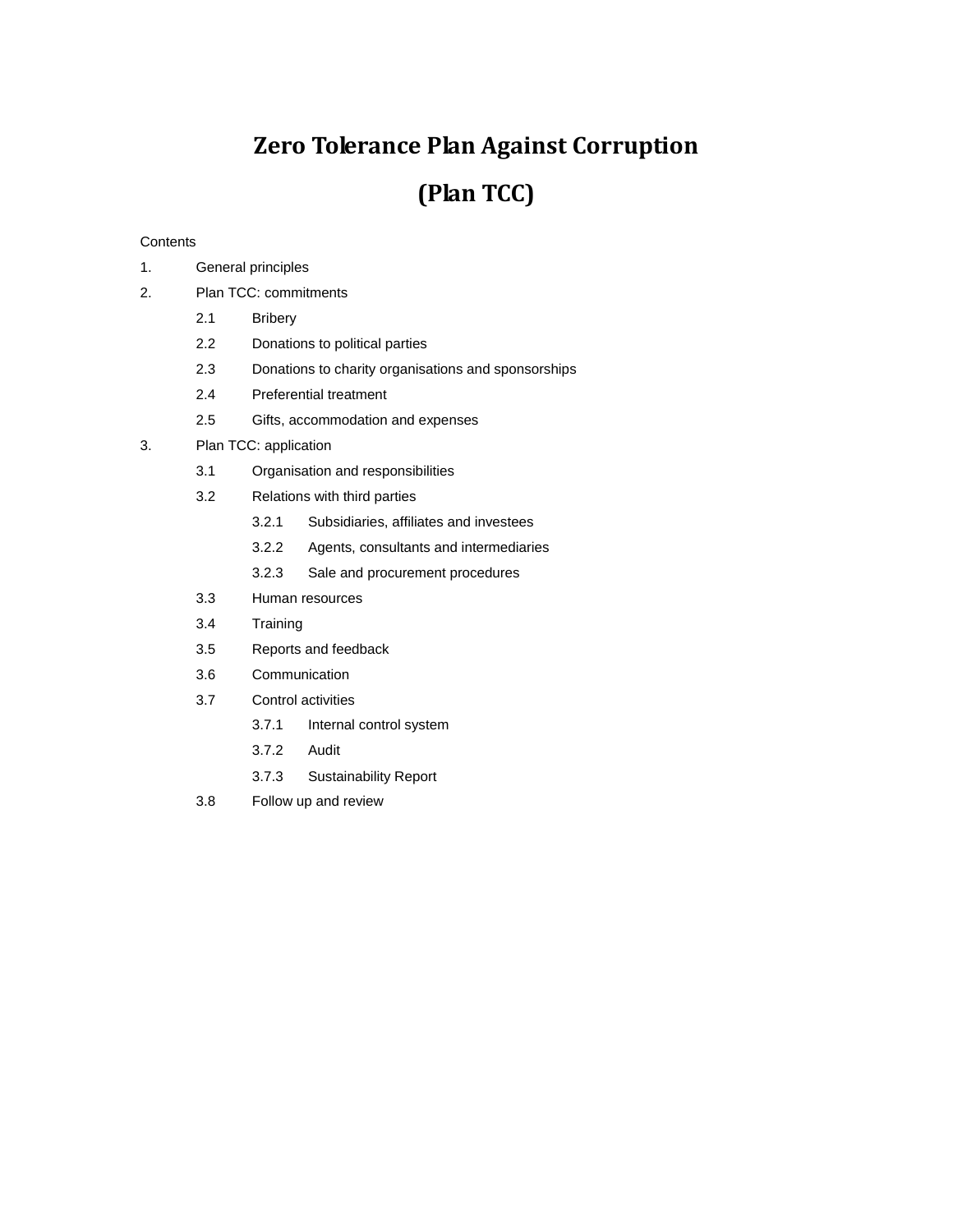# **Zero Tolerance Plan Against Corruption (Plan TCC)**

# **Contents**

- 1. General principles
- 2. Plan TCC: commitments
	- 2.1 Bribery
	- 2.2 Donations to political parties
	- 2.3 Donations to charity organisations and sponsorships
	- 2.4 Preferential treatment
	- 2.5 Gifts, accommodation and expenses
- 3. Plan TCC: application
	- 3.1 Organisation and responsibilities
	- 3.2 Relations with third parties
		- 3.2.1 Subsidiaries, affiliates and investees
		- 3.2.2 Agents, consultants and intermediaries
		- 3.2.3 Sale and procurement procedures
	- 3.3 Human resources
	- 3.4 Training
	- 3.5 Reports and feedback
	- 3.6 Communication
	- 3.7 Control activities
		- 3.7.1 Internal control system
		- 3.7.2 Audit
		- 3.7.3 Sustainability Report
	- 3.8 Follow up and review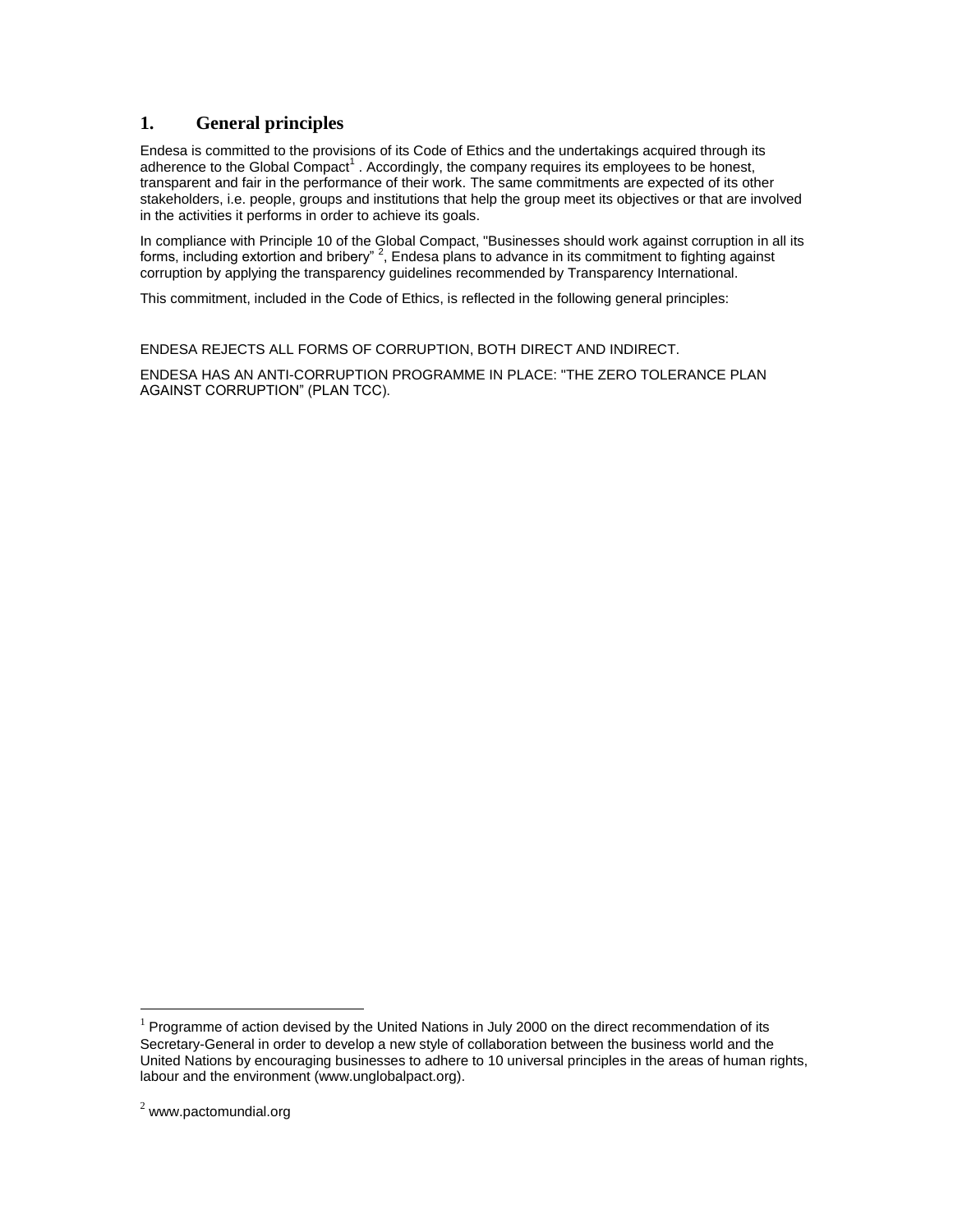# **1. General principles**

Endesa is committed to the provisions of its Code of Ethics and the undertakings acquired through its adherence to the Global Compact<sup>1</sup>. Accordingly, the company requires its employees to be honest, transparent and fair in the performance of their work. The same commitments are expected of its other stakeholders, i.e. people, groups and institutions that help the group meet its objectives or that are involved in the activities it performs in order to achieve its goals.

In compliance with Principle 10 of the Global Compact, "Businesses should work against corruption in all its forms, including extortion and bribery" <sup>2</sup>, Endesa plans to advance in its commitment to fighting against corruption by applying the transparency guidelines recommended by Transparency International.

This commitment, included in the Code of Ethics, is reflected in the following general principles:

ENDESA REJECTS ALL FORMS OF CORRUPTION, BOTH DIRECT AND INDIRECT.

ENDESA HAS AN ANTI-CORRUPTION PROGRAMME IN PLACE: "THE ZERO TOLERANCE PLAN AGAINST CORRUPTION" (PLAN TCC).

 $\overline{a}$ 

 $1$  Programme of action devised by the United Nations in July 2000 on the direct recommendation of its Secretary-General in order to develop a new style of collaboration between the business world and the United Nations by encouraging businesses to adhere to 10 universal principles in the areas of human rights, labour and the environment (www.unglobalpact.org).

 $2$  www.pactomundial.org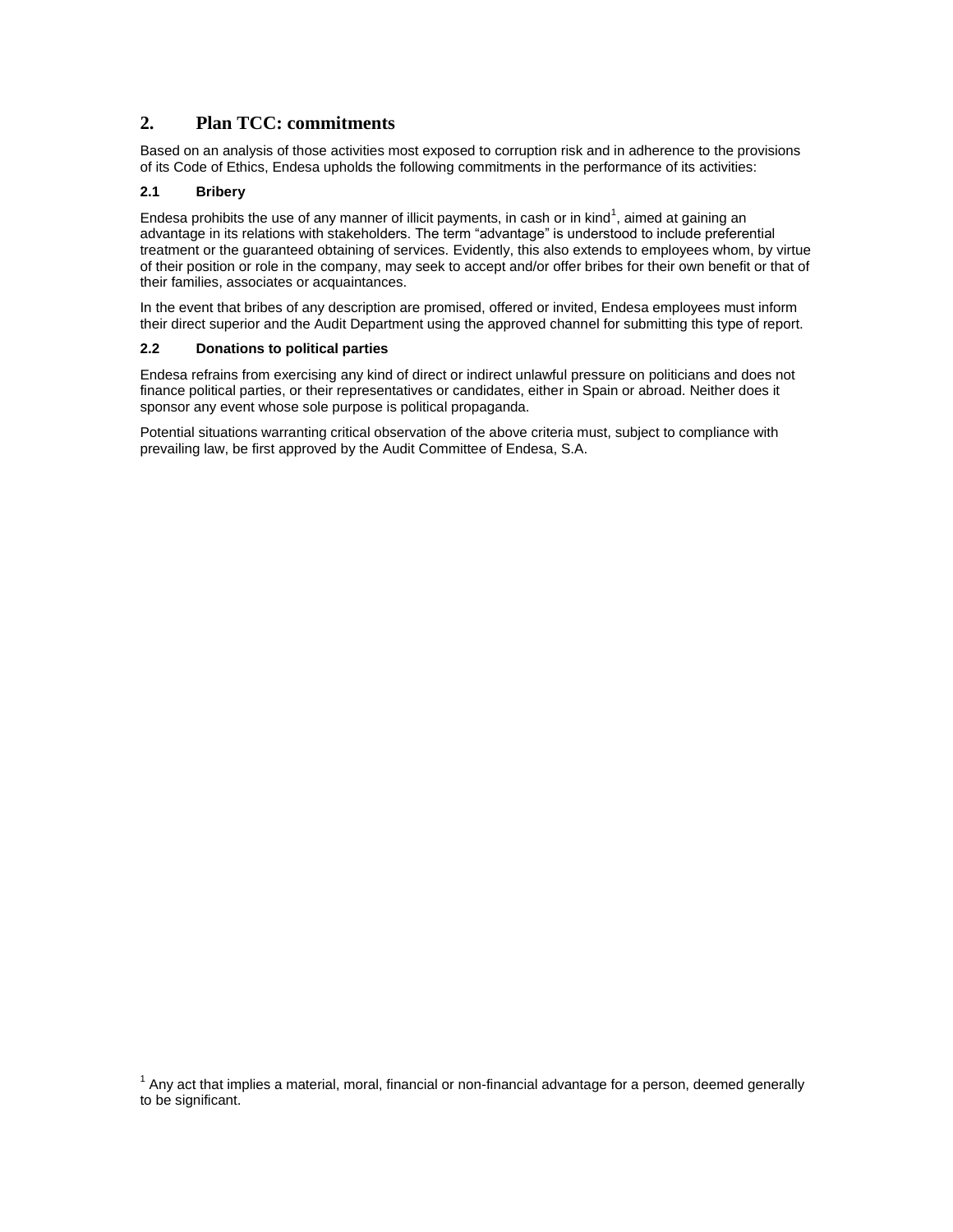# **2. Plan TCC: commitments**

Based on an analysis of those activities most exposed to corruption risk and in adherence to the provisions of its Code of Ethics, Endesa upholds the following commitments in the performance of its activities:

# **2.1 Bribery**

Endesa prohibits the use of any manner of illicit payments, in cash or in kind<sup>1</sup>, aimed at gaining an advantage in its relations with stakeholders. The term "advantage" is understood to include preferential treatment or the guaranteed obtaining of services. Evidently, this also extends to employees whom, by virtue of their position or role in the company, may seek to accept and/or offer bribes for their own benefit or that of their families, associates or acquaintances.

In the event that bribes of any description are promised, offered or invited, Endesa employees must inform their direct superior and the Audit Department using the approved channel for submitting this type of report.

#### **2.2 Donations to political parties**

Endesa refrains from exercising any kind of direct or indirect unlawful pressure on politicians and does not finance political parties, or their representatives or candidates, either in Spain or abroad. Neither does it sponsor any event whose sole purpose is political propaganda.

Potential situations warranting critical observation of the above criteria must, subject to compliance with prevailing law, be first approved by the Audit Committee of Endesa, S.A.

 $1$  Any act that implies a material, moral, financial or non-financial advantage for a person, deemed generally to be significant.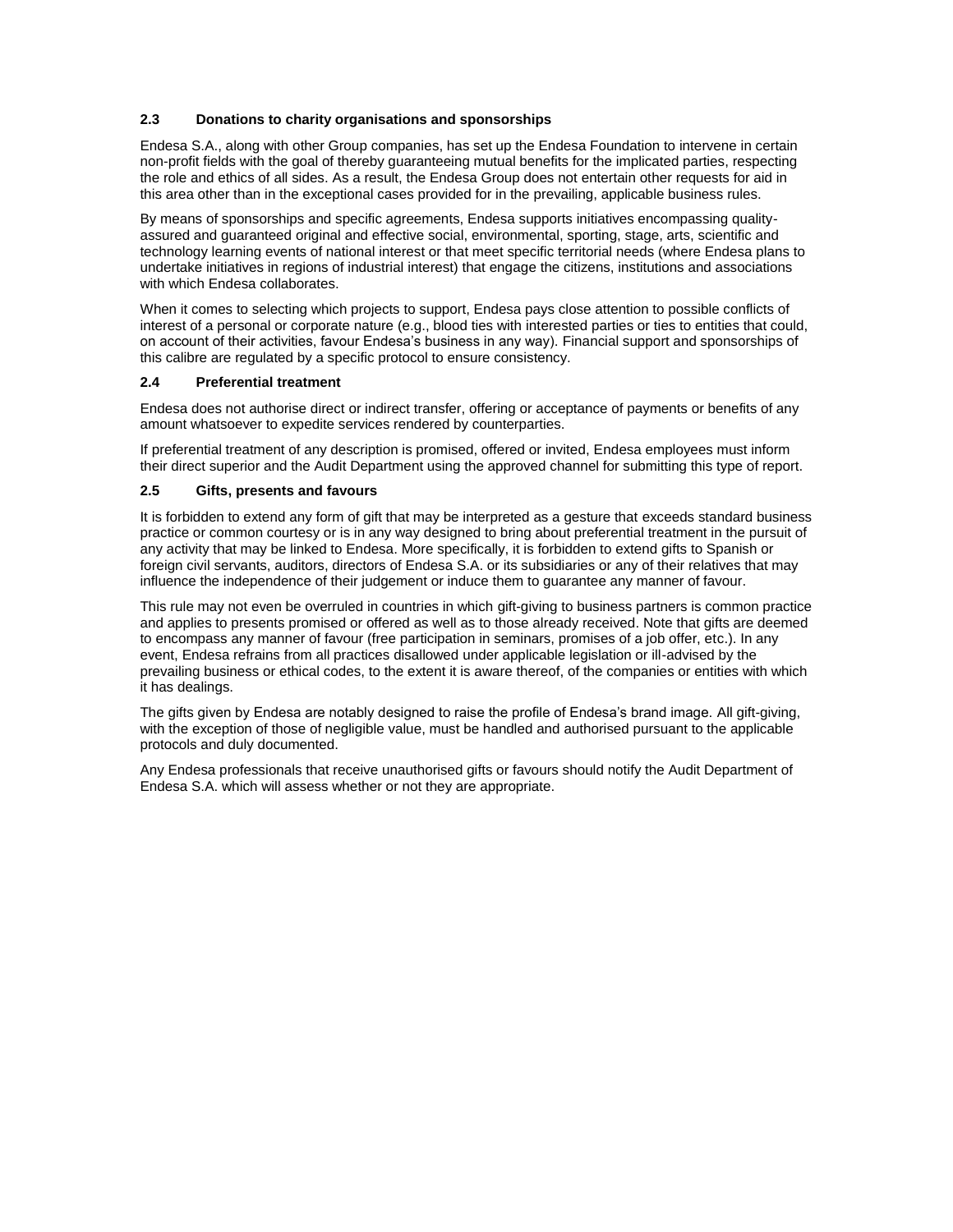# **2.3 Donations to charity organisations and sponsorships**

Endesa S.A., along with other Group companies, has set up the Endesa Foundation to intervene in certain non-profit fields with the goal of thereby guaranteeing mutual benefits for the implicated parties, respecting the role and ethics of all sides. As a result, the Endesa Group does not entertain other requests for aid in this area other than in the exceptional cases provided for in the prevailing, applicable business rules.

By means of sponsorships and specific agreements, Endesa supports initiatives encompassing qualityassured and guaranteed original and effective social, environmental, sporting, stage, arts, scientific and technology learning events of national interest or that meet specific territorial needs (where Endesa plans to undertake initiatives in regions of industrial interest) that engage the citizens, institutions and associations with which Endesa collaborates.

When it comes to selecting which projects to support, Endesa pays close attention to possible conflicts of interest of a personal or corporate nature (e.g., blood ties with interested parties or ties to entities that could, on account of their activities, favour Endesa's business in any way). Financial support and sponsorships of this calibre are regulated by a specific protocol to ensure consistency.

## **2.4 Preferential treatment**

Endesa does not authorise direct or indirect transfer, offering or acceptance of payments or benefits of any amount whatsoever to expedite services rendered by counterparties.

If preferential treatment of any description is promised, offered or invited, Endesa employees must inform their direct superior and the Audit Department using the approved channel for submitting this type of report.

#### **2.5 Gifts, presents and favours**

It is forbidden to extend any form of gift that may be interpreted as a gesture that exceeds standard business practice or common courtesy or is in any way designed to bring about preferential treatment in the pursuit of any activity that may be linked to Endesa. More specifically, it is forbidden to extend gifts to Spanish or foreign civil servants, auditors, directors of Endesa S.A. or its subsidiaries or any of their relatives that may influence the independence of their judgement or induce them to guarantee any manner of favour.

This rule may not even be overruled in countries in which gift-giving to business partners is common practice and applies to presents promised or offered as well as to those already received. Note that gifts are deemed to encompass any manner of favour (free participation in seminars, promises of a job offer, etc.). In any event, Endesa refrains from all practices disallowed under applicable legislation or ill-advised by the prevailing business or ethical codes, to the extent it is aware thereof, of the companies or entities with which it has dealings.

The gifts given by Endesa are notably designed to raise the profile of Endesa's brand image. All gift-giving, with the exception of those of negligible value, must be handled and authorised pursuant to the applicable protocols and duly documented.

Any Endesa professionals that receive unauthorised gifts or favours should notify the Audit Department of Endesa S.A. which will assess whether or not they are appropriate.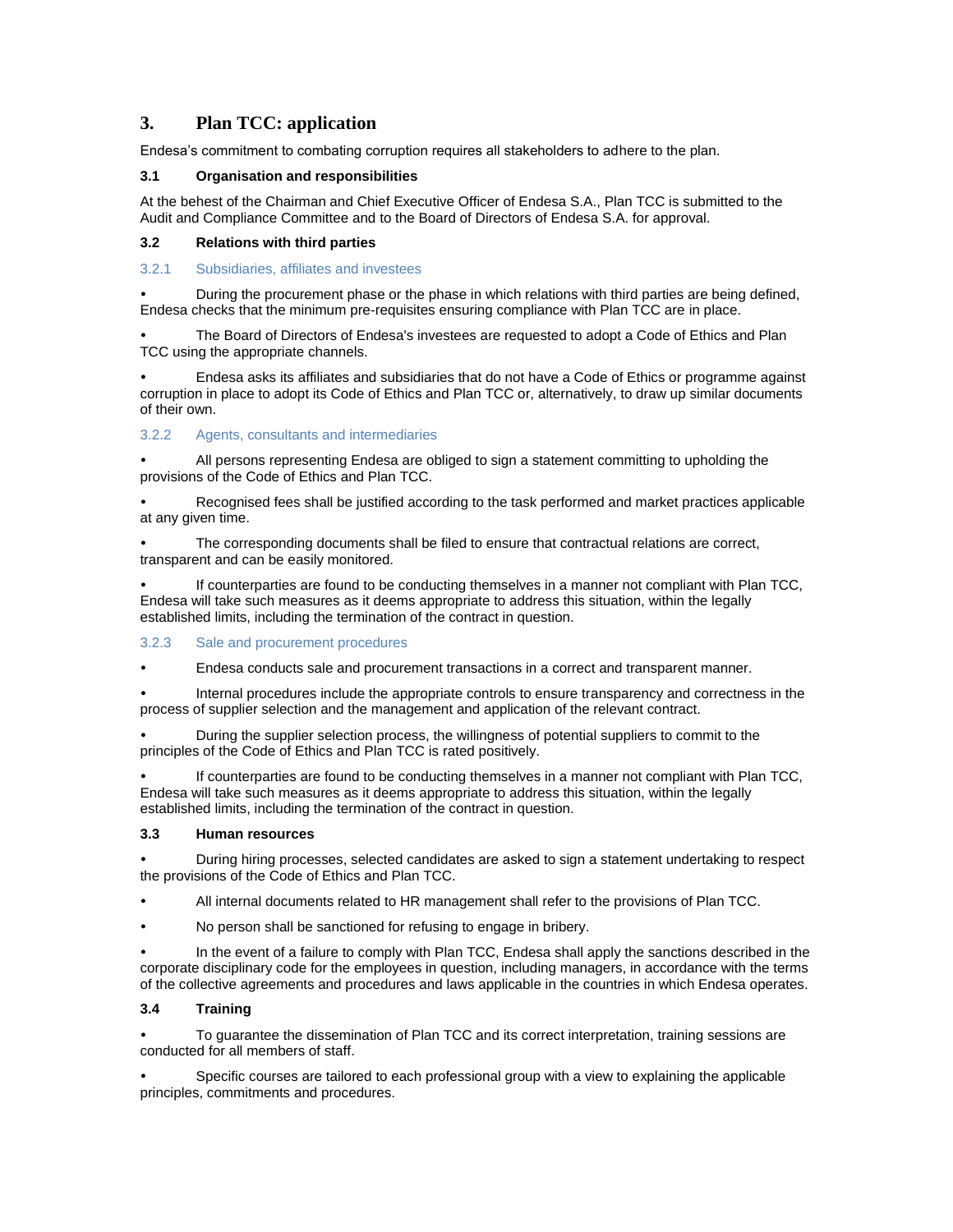# **3. Plan TCC: application**

Endesa's commitment to combating corruption requires all stakeholders to adhere to the plan.

## **3.1 Organisation and responsibilities**

At the behest of the Chairman and Chief Executive Officer of Endesa S.A., Plan TCC is submitted to the Audit and Compliance Committee and to the Board of Directors of Endesa S.A. for approval.

## **3.2 Relations with third parties**

3.2.1 Subsidiaries, affiliates and investees

 During the procurement phase or the phase in which relations with third parties are being defined, Endesa checks that the minimum pre-requisites ensuring compliance with Plan TCC are in place.

 The Board of Directors of Endesa's investees are requested to adopt a Code of Ethics and Plan TCC using the appropriate channels.

 Endesa asks its affiliates and subsidiaries that do not have a Code of Ethics or programme against corruption in place to adopt its Code of Ethics and Plan TCC or, alternatively, to draw up similar documents of their own.

## 3.2.2 Agents, consultants and intermediaries

 All persons representing Endesa are obliged to sign a statement committing to upholding the provisions of the Code of Ethics and Plan TCC.

 Recognised fees shall be justified according to the task performed and market practices applicable at any given time.

 The corresponding documents shall be filed to ensure that contractual relations are correct, transparent and can be easily monitored.

 If counterparties are found to be conducting themselves in a manner not compliant with Plan TCC, Endesa will take such measures as it deems appropriate to address this situation, within the legally established limits, including the termination of the contract in question.

## 3.2.3 Sale and procurement procedures

Endesa conducts sale and procurement transactions in a correct and transparent manner.

 Internal procedures include the appropriate controls to ensure transparency and correctness in the process of supplier selection and the management and application of the relevant contract.

 During the supplier selection process, the willingness of potential suppliers to commit to the principles of the Code of Ethics and Plan TCC is rated positively.

 If counterparties are found to be conducting themselves in a manner not compliant with Plan TCC, Endesa will take such measures as it deems appropriate to address this situation, within the legally established limits, including the termination of the contract in question.

## **3.3 Human resources**

 During hiring processes, selected candidates are asked to sign a statement undertaking to respect the provisions of the Code of Ethics and Plan TCC.

All internal documents related to HR management shall refer to the provisions of Plan TCC.

No person shall be sanctioned for refusing to engage in bribery.

 In the event of a failure to comply with Plan TCC, Endesa shall apply the sanctions described in the corporate disciplinary code for the employees in question, including managers, in accordance with the terms of the collective agreements and procedures and laws applicable in the countries in which Endesa operates.

# **3.4 Training**

 To guarantee the dissemination of Plan TCC and its correct interpretation, training sessions are conducted for all members of staff.

 Specific courses are tailored to each professional group with a view to explaining the applicable principles, commitments and procedures.